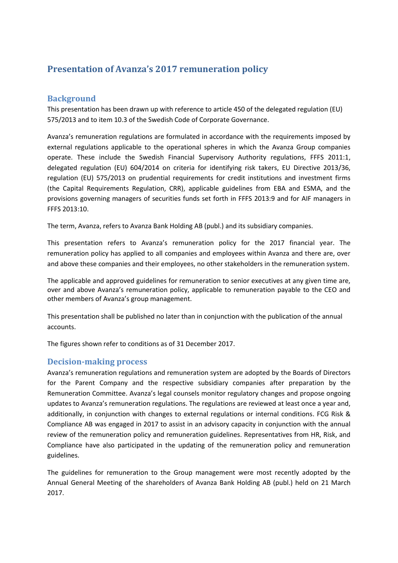# **Presentation of Avanza's 2017 remuneration policy**

## **Background**

This presentation has been drawn up with reference to article 450 of the delegated regulation (EU) 575/2013 and to item 10.3 of the Swedish Code of Corporate Governance.

Avanza's remuneration regulations are formulated in accordance with the requirements imposed by external regulations applicable to the operational spheres in which the Avanza Group companies operate. These include the Swedish Financial Supervisory Authority regulations, FFFS 2011:1, delegated regulation (EU) 604/2014 on criteria for identifying risk takers, EU Directive 2013/36, regulation (EU) 575/2013 on prudential requirements for credit institutions and investment firms (the Capital Requirements Regulation, CRR), applicable guidelines from EBA and ESMA, and the provisions governing managers of securities funds set forth in FFFS 2013:9 and for AIF managers in FFFS 2013:10.

The term, Avanza, refers to Avanza Bank Holding AB (publ.) and its subsidiary companies.

This presentation refers to Avanza's remuneration policy for the 2017 financial year. The remuneration policy has applied to all companies and employees within Avanza and there are, over and above these companies and their employees, no other stakeholders in the remuneration system.

The applicable and approved guidelines for remuneration to senior executives at any given time are, over and above Avanza's remuneration policy, applicable to remuneration payable to the CEO and other members of Avanza's group management.

This presentation shall be published no later than in conjunction with the publication of the annual accounts.

The figures shown refer to conditions as of 31 December 2017.

# **Decision-making process**

Avanza's remuneration regulations and remuneration system are adopted by the Boards of Directors for the Parent Company and the respective subsidiary companies after preparation by the Remuneration Committee. Avanza's legal counsels monitor regulatory changes and propose ongoing updates to Avanza's remuneration regulations. The regulations are reviewed at least once a year and, additionally, in conjunction with changes to external regulations or internal conditions. FCG Risk & Compliance AB was engaged in 2017 to assist in an advisory capacity in conjunction with the annual review of the remuneration policy and remuneration guidelines. Representatives from HR, Risk, and Compliance have also participated in the updating of the remuneration policy and remuneration guidelines.

The guidelines for remuneration to the Group management were most recently adopted by the Annual General Meeting of the shareholders of Avanza Bank Holding AB (publ.) held on 21 March 2017.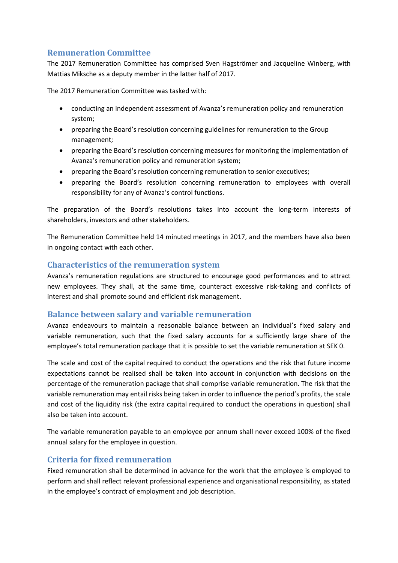# **Remuneration Committee**

The 2017 Remuneration Committee has comprised Sven Hagströmer and Jacqueline Winberg, with Mattias Miksche as a deputy member in the latter half of 2017.

The 2017 Remuneration Committee was tasked with:

- conducting an independent assessment of Avanza's remuneration policy and remuneration system;
- preparing the Board's resolution concerning guidelines for remuneration to the Group management;
- preparing the Board's resolution concerning measures for monitoring the implementation of Avanza's remuneration policy and remuneration system;
- preparing the Board's resolution concerning remuneration to senior executives;
- preparing the Board's resolution concerning remuneration to employees with overall responsibility for any of Avanza's control functions.

The preparation of the Board's resolutions takes into account the long-term interests of shareholders, investors and other stakeholders.

The Remuneration Committee held 14 minuted meetings in 2017, and the members have also been in ongoing contact with each other.

## **Characteristics of the remuneration system**

Avanza's remuneration regulations are structured to encourage good performances and to attract new employees. They shall, at the same time, counteract excessive risk-taking and conflicts of interest and shall promote sound and efficient risk management.

## **Balance between salary and variable remuneration**

Avanza endeavours to maintain a reasonable balance between an individual's fixed salary and variable remuneration, such that the fixed salary accounts for a sufficiently large share of the employee's total remuneration package that it is possible to set the variable remuneration at SEK 0.

The scale and cost of the capital required to conduct the operations and the risk that future income expectations cannot be realised shall be taken into account in conjunction with decisions on the percentage of the remuneration package that shall comprise variable remuneration. The risk that the variable remuneration may entail risks being taken in order to influence the period's profits, the scale and cost of the liquidity risk (the extra capital required to conduct the operations in question) shall also be taken into account.

The variable remuneration payable to an employee per annum shall never exceed 100% of the fixed annual salary for the employee in question.

## **Criteria for fixed remuneration**

Fixed remuneration shall be determined in advance for the work that the employee is employed to perform and shall reflect relevant professional experience and organisational responsibility, as stated in the employee's contract of employment and job description.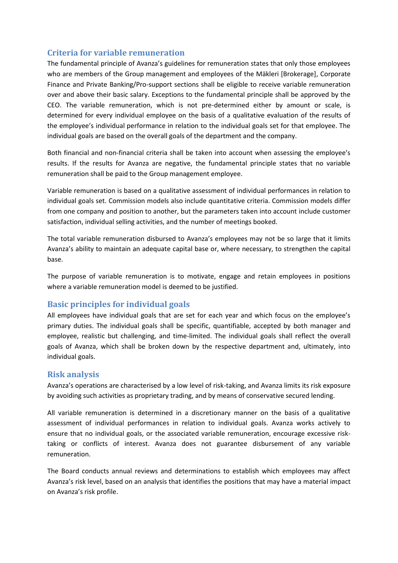## **Criteria for variable remuneration**

The fundamental principle of Avanza's guidelines for remuneration states that only those employees who are members of the Group management and employees of the Mäkleri [Brokerage], Corporate Finance and Private Banking/Pro-support sections shall be eligible to receive variable remuneration over and above their basic salary. Exceptions to the fundamental principle shall be approved by the CEO. The variable remuneration, which is not pre-determined either by amount or scale, is determined for every individual employee on the basis of a qualitative evaluation of the results of the employee's individual performance in relation to the individual goals set for that employee. The individual goals are based on the overall goals of the department and the company.

Both financial and non-financial criteria shall be taken into account when assessing the employee's results. If the results for Avanza are negative, the fundamental principle states that no variable remuneration shall be paid to the Group management employee.

Variable remuneration is based on a qualitative assessment of individual performances in relation to individual goals set. Commission models also include quantitative criteria. Commission models differ from one company and position to another, but the parameters taken into account include customer satisfaction, individual selling activities, and the number of meetings booked.

The total variable remuneration disbursed to Avanza's employees may not be so large that it limits Avanza's ability to maintain an adequate capital base or, where necessary, to strengthen the capital base.

The purpose of variable remuneration is to motivate, engage and retain employees in positions where a variable remuneration model is deemed to be justified.

## **Basic principles for individual goals**

All employees have individual goals that are set for each year and which focus on the employee's primary duties. The individual goals shall be specific, quantifiable, accepted by both manager and employee, realistic but challenging, and time-limited. The individual goals shall reflect the overall goals of Avanza, which shall be broken down by the respective department and, ultimately, into individual goals.

## **Risk analysis**

Avanza's operations are characterised by a low level of risk-taking, and Avanza limits its risk exposure by avoiding such activities as proprietary trading, and by means of conservative secured lending.

All variable remuneration is determined in a discretionary manner on the basis of a qualitative assessment of individual performances in relation to individual goals. Avanza works actively to ensure that no individual goals, or the associated variable remuneration, encourage excessive risktaking or conflicts of interest. Avanza does not guarantee disbursement of any variable remuneration.

The Board conducts annual reviews and determinations to establish which employees may affect Avanza's risk level, based on an analysis that identifies the positions that may have a material impact on Avanza's risk profile.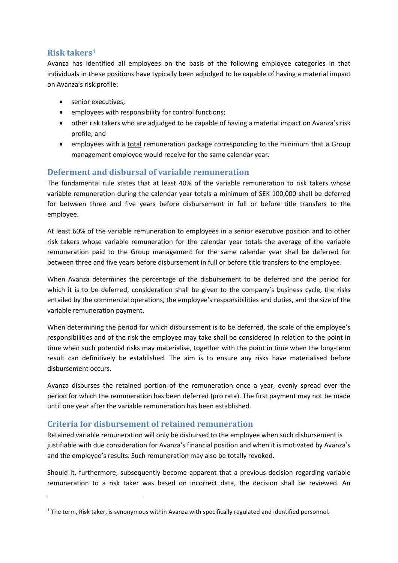# **Risk takers<sup>1</sup>**

1

Avanza has identified all employees on the basis of the following employee categories in that individuals in these positions have typically been adjudged to be capable of having a material impact on Avanza's risk profile:

- senior executives;
- employees with responsibility for control functions;
- other risk takers who are adjudged to be capable of having a material impact on Avanza's risk profile; and
- employees with a total remuneration package corresponding to the minimum that a Group management employee would receive for the same calendar year.

# **Deferment and disbursal of variable remuneration**

The fundamental rule states that at least 40% of the variable remuneration to risk takers whose variable remuneration during the calendar year totals a minimum of SEK 100,000 shall be deferred for between three and five years before disbursement in full or before title transfers to the employee.

At least 60% of the variable remuneration to employees in a senior executive position and to other risk takers whose variable remuneration for the calendar year totals the average of the variable remuneration paid to the Group management for the same calendar year shall be deferred for between three and five years before disbursement in full or before title transfers to the employee.

When Avanza determines the percentage of the disbursement to be deferred and the period for which it is to be deferred, consideration shall be given to the company's business cycle, the risks entailed by the commercial operations, the employee's responsibilities and duties, and the size of the variable remuneration payment.

When determining the period for which disbursement is to be deferred, the scale of the employee's responsibilities and of the risk the employee may take shall be considered in relation to the point in time when such potential risks may materialise, together with the point in time when the long-term result can definitively be established. The aim is to ensure any risks have materialised before disbursement occurs.

Avanza disburses the retained portion of the remuneration once a year, evenly spread over the period for which the remuneration has been deferred (pro rata). The first payment may not be made until one year after the variable remuneration has been established.

## **Criteria for disbursement of retained remuneration**

Retained variable remuneration will only be disbursed to the employee when such disbursement is justifiable with due consideration for Avanza's financial position and when it is motivated by Avanza's and the employee's results. Such remuneration may also be totally revoked.

Should it, furthermore, subsequently become apparent that a previous decision regarding variable remuneration to a risk taker was based on incorrect data, the decision shall be reviewed. An

<sup>&</sup>lt;sup>1</sup> The term, Risk taker, is synonymous within Avanza with specifically regulated and identified personnel.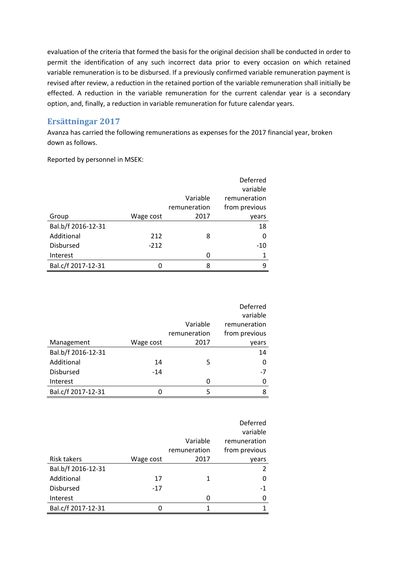evaluation of the criteria that formed the basis for the original decision shall be conducted in order to permit the identification of any such incorrect data prior to every occasion on which retained variable remuneration is to be disbursed. If a previously confirmed variable remuneration payment is revised after review, a reduction in the retained portion of the variable remuneration shall initially be effected. A reduction in the variable remuneration for the current calendar year is a secondary option, and, finally, a reduction in variable remuneration for future calendar years.

# **Ersättningar 2017**

Avanza has carried the following remunerations as expenses for the 2017 financial year, broken down as follows.

Reported by personnel in MSEK:

|                    |           |              | Deferred<br>variable |
|--------------------|-----------|--------------|----------------------|
|                    |           | Variable     | remuneration         |
|                    |           | remuneration | from previous        |
| Group              | Wage cost | 2017         | years                |
| Bal.b/f 2016-12-31 |           |              | 18                   |
| Additional         | 212       | 8            | 0                    |
| <b>Disbursed</b>   | $-212$    |              | $-10$                |
| Interest           |           | 0            |                      |
| Bal.c/f 2017-12-31 |           | 8            | 9                    |

|                    |           |              | Deferred      |
|--------------------|-----------|--------------|---------------|
|                    |           |              | variable      |
|                    |           | Variable     | remuneration  |
|                    |           | remuneration | from previous |
| Management         | Wage cost | 2017         | years         |
| Bal.b/f 2016-12-31 |           |              | 14            |
| Additional         | 14        | 5            | 0             |
| <b>Disbursed</b>   | $-14$     |              | $-7$          |
| Interest           |           | 0            | 0             |
| Bal.c/f 2017-12-31 |           | 5            | 8             |

|                    |           |              | Deferred<br>variable |
|--------------------|-----------|--------------|----------------------|
|                    |           | Variable     | remuneration         |
|                    |           | remuneration | from previous        |
| <b>Risk takers</b> | Wage cost | 2017         | years                |
| Bal.b/f 2016-12-31 |           |              |                      |
| Additional         | 17        | 1            | O                    |
| <b>Disbursed</b>   | $-17$     |              | -1                   |
| Interest           |           | 0            | 0                    |
| Bal.c/f 2017-12-31 |           | 1            |                      |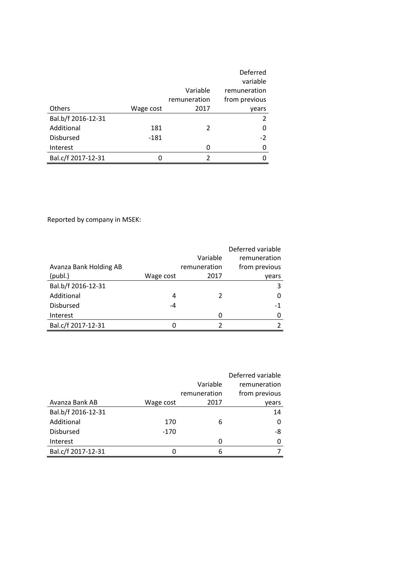|                    |           |              | Deferred<br>variable |
|--------------------|-----------|--------------|----------------------|
|                    |           | Variable     | remuneration         |
|                    |           | remuneration | from previous        |
| <b>Others</b>      | Wage cost | 2017         | years                |
| Bal.b/f 2016-12-31 |           |              |                      |
| Additional         | 181       | 2            | O                    |
| <b>Disbursed</b>   | $-181$    |              | $-2$                 |
| Interest           |           | 0            |                      |
| Bal.c/f 2017-12-31 |           | 2            |                      |

Reported by company in MSEK:

|                        |           |              | Deferred variable |
|------------------------|-----------|--------------|-------------------|
|                        |           | Variable     | remuneration      |
| Avanza Bank Holding AB |           | remuneration | from previous     |
| (publ.)                | Wage cost | 2017         | years             |
| Bal.b/f 2016-12-31     |           |              | 3                 |
| Additional             | 4         |              | 0                 |
| <b>Disbursed</b>       | -4        |              | -1                |
| Interest               |           | 0            | 0                 |
| Bal.c/f 2017-12-31     |           |              |                   |

|                    |           | Variable<br>remuneration | Deferred variable<br>remuneration<br>from previous |
|--------------------|-----------|--------------------------|----------------------------------------------------|
| Avanza Bank AB     | Wage cost | 2017                     | years                                              |
| Bal.b/f 2016-12-31 |           |                          | 14                                                 |
| Additional         | 170       | 6                        | 0                                                  |
| <b>Disbursed</b>   | $-170$    |                          | -8                                                 |
| Interest           |           | 0                        | 0                                                  |
| Bal.c/f 2017-12-31 |           | 6                        |                                                    |